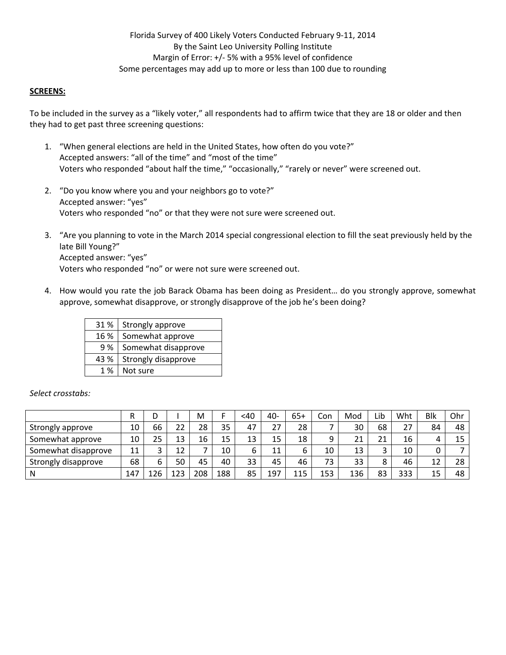Florida Survey of 400 Likely Voters Conducted February 9‐11, 2014 By the Saint Leo University Polling Institute Margin of Error: +/‐ 5% with a 95% level of confidence Some percentages may add up to more or less than 100 due to rounding

### **SCREENS:**

To be included in the survey as a "likely voter," all respondents had to affirm twice that they are 18 or older and then they had to get past three screening questions:

- 1. "When general elections are held in the United States, how often do you vote?" Accepted answers: "all of the time" and "most of the time" Voters who responded "about half the time," "occasionally," "rarely or never" were screened out.
- 2. "Do you know where you and your neighbors go to vote?" Accepted answer: "yes" Voters who responded "no" or that they were not sure were screened out.
- 3. "Are you planning to vote in the March 2014 special congressional election to fill the seat previously held by the late Bill Young?" Accepted answer: "yes" Voters who responded "no" or were not sure were screened out.
- 4. How would you rate the job Barack Obama has been doing as President… do you strongly approve, somewhat approve, somewhat disapprove, or strongly disapprove of the job he's been doing?

| 31 %   | Strongly approve    |
|--------|---------------------|
| 16 %   | Somewhat approve    |
| 9%     | Somewhat disapprove |
| 43 %   | Strongly disapprove |
| $1 \%$ | Not sure            |

|                     | D   |     |     | M   |     | <40 | 40- | $65+$ | Con | Mod | Lib    | Wht | <b>Blk</b> | Ohr |
|---------------------|-----|-----|-----|-----|-----|-----|-----|-------|-----|-----|--------|-----|------------|-----|
| Strongly approve    | 10  | 66  | 22  | 28  | 35  | 47  | 27  | 28    |     | 30  | 68     | 27  | 84         | 48  |
| Somewhat approve    | 10  | 25  | 13  | 16  | 15  | 13  | 15  | 18    | a   | 21  | 21     | 16  | 4          | 15  |
| Somewhat disapprove | 11  | 2   | 12  |     | 10  | 6   | 11  |       | 10  | 13  | ς<br>ت | 10  |            |     |
| Strongly disapprove | 68  | 6   | 50  | 45  | 40  | 33  | 45  | 46    | 73  | 33  | 8      | 46  | 12         | 28  |
| N                   | 147 | 126 | 123 | 208 | 188 | 85  | 197 | 115   | 153 | 136 | 83     | 333 | 15         | 48  |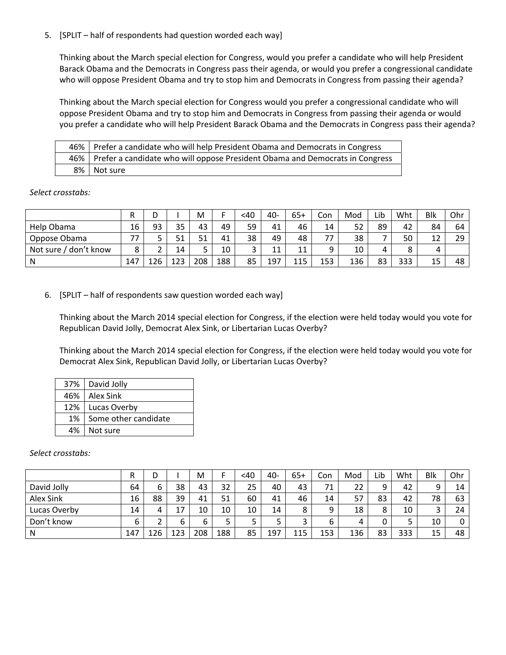5. [SPLIT – half of respondents had question worded each way]

Thinking about the March special election for Congress, would you prefer a candidate who will help President Barack Obama and the Democrats in Congress pass their agenda, or would you prefer a congressional candidate who will oppose President Obama and try to stop him and Democrats in Congress from passing their agenda?

Thinking about the March special election for Congress would you prefer a congressional candidate who will oppose President Obama and try to stop him and Democrats in Congress from passing their agenda or would you prefer a candidate who will help President Barack Obama and the Democrats in Congress pass their agenda?

| Prefer a candidate who will help President Obama and Democrats in Congress         |
|------------------------------------------------------------------------------------|
| 46%   Prefer a candidate who will oppose President Obama and Democrats in Congress |
| 8%   Not sure                                                                      |

*Select crosstabs:*

|                          | R   | ◡   |                | M   |     | <40    | 40- | $65+$ | Con | Mod | Lib | Wht | Blk      | Ohr |
|--------------------------|-----|-----|----------------|-----|-----|--------|-----|-------|-----|-----|-----|-----|----------|-----|
| Help Obama               | 16  | 93  | 35             | 43  | 49  | 59     | 41  | 46    | 14  | 52  | 89  | 42  | 84       | 64  |
| Oppose Obama             | 77  |     | E <sub>1</sub> | 51  | 41  | 38     | 49  | 48    |     | 38  |     | 50  | 1 ว<br>ᆠ | 29  |
| don't know<br>Not sure / | o   |     | 14             | -   | 10  | ⌒<br>ر | 11  | 11    | a   | 10  | 4   |     | 4        |     |
| N                        | 147 | 26ء | 123            | 208 | 188 | 85     | 197 | 115   | 153 | 136 | 83  | 333 | 15       | 48  |

6. [SPLIT – half of respondents saw question worded each way]

Thinking about the March 2014 special election for Congress, if the election were held today would you vote for Republican David Jolly, Democrat Alex Sink, or Libertarian Lucas Overby?

Thinking about the March 2014 special election for Congress, if the election were held today would you vote for Democrat Alex Sink, Republican David Jolly, or Libertarian Lucas Overby?

|    | 37%   David Jolly    |
|----|----------------------|
|    | 46%   Alex Sink      |
|    | 12%   Lucas Overby   |
| 1% | Some other candidate |
|    | 4%   Not sure        |

|              | R   |        |     | М   |     | <40    | 40- | $65+$  | Con | Mod | Lib | Wht | <b>Blk</b> | Ohr |
|--------------|-----|--------|-----|-----|-----|--------|-----|--------|-----|-----|-----|-----|------------|-----|
| David Jolly  | 64  | ∽<br>ь | 38  | 43  | 32  | 25     | 40  | 43     | 71  | 22  | a   | 42  | Q          | 14  |
| Alex Sink    | 16  | 88     | 39  | 41  | 51  | 60     | 41  | 46     | 14  | 57  | 83  | 42  | 78         | 63  |
| Lucas Overby | 14  | 4      | 17  | 10  | 10  | 10     | 14  | 8      | a   | 18  | 8   | 10  |            | 24  |
| Don't know   |     | ∽      | 6   | 6   | 5   | -<br>ت |     | $\sim$ | 6   | 4   |     |     | 10         | 0   |
| N            | 147 | 126    | 123 | 208 | 188 | 85     | 197 | 115    | 153 | 136 | 83  | 333 | 15         | 48  |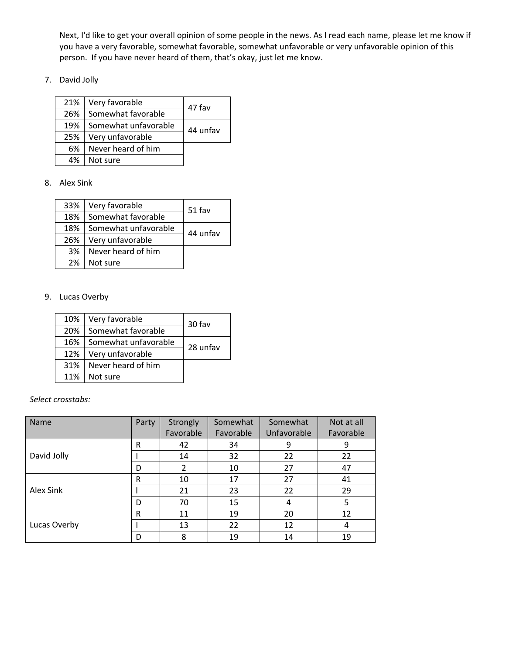Next, I'd like to get your overall opinion of some people in the news. As I read each name, please let me know if you have a very favorable, somewhat favorable, somewhat unfavorable or very unfavorable opinion of this person. If you have never heard of them, that's okay, just let me know.

7. David Jolly

| 21% | Very favorable       | 47 fav   |
|-----|----------------------|----------|
| 26% | Somewhat favorable   |          |
| 19% | Somewhat unfavorable | 44 unfav |
| 25% | Very unfavorable     |          |
| 6%  | Never heard of him   |          |
| 4%  | Not sure             |          |

8. Alex Sink

| 33% | Very favorable       | 51 fav   |
|-----|----------------------|----------|
| 18% | Somewhat favorable   |          |
| 18% | Somewhat unfavorable | 44 unfav |
| 26% | Very unfavorable     |          |
| 3%  | Never heard of him   |          |
| 2%  | Not sure             |          |

9. Lucas Overby

| 10% | Very favorable       | 30 fav   |
|-----|----------------------|----------|
| 20% | Somewhat favorable   |          |
| 16% | Somewhat unfavorable | 28 unfav |
| 12% | Very unfavorable     |          |
| 31% | Never heard of him   |          |
| 11% | Not sure             |          |

| <b>Name</b>  | Party        | Strongly<br>Favorable | Somewhat<br>Favorable | Somewhat<br>Unfavorable | Not at all<br>Favorable |
|--------------|--------------|-----------------------|-----------------------|-------------------------|-------------------------|
|              | R            | 42                    | 34                    | 9                       | 9                       |
| David Jolly  |              | 14                    | 32                    | 22                      | 22                      |
|              | D            | 2                     | 10                    | 27                      | 47                      |
|              | R            | 10                    | 17                    | 27                      | 41                      |
| Alex Sink    |              | 21                    | 23                    | 22                      | 29                      |
|              | D            | 70                    | 15                    | 4                       | -5                      |
|              | $\mathsf{R}$ | 11                    | 19                    | 20                      | 12                      |
| Lucas Overby |              | 13                    | 22                    | 12                      | 4                       |
|              | D            | 8                     | 19                    | 14                      | 19                      |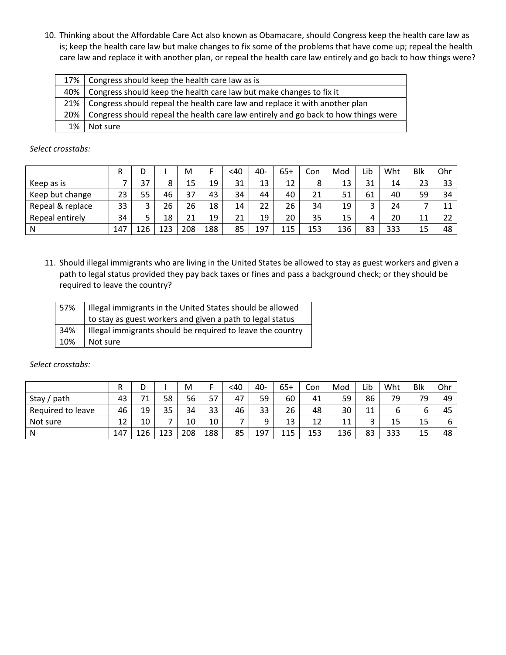10. Thinking about the Affordable Care Act also known as Obamacare, should Congress keep the health care law as is; keep the health care law but make changes to fix some of the problems that have come up; repeal the health care law and replace it with another plan, or repeal the health care law entirely and go back to how things were?

| 17% l  | Congress should keep the health care law as is                                     |
|--------|------------------------------------------------------------------------------------|
| 40%    | Congress should keep the health care law but make changes to fix it                |
| 21%    | Congress should repeal the health care law and replace it with another plan        |
| $20\%$ | Congress should repeal the health care law entirely and go back to how things were |
| 1%     | Not sure                                                                           |

*Select crosstabs:*

|                  | R   | D<br>◡ |     | M   |     | <40 | 40- | $65+$ | Con | Mod | Lib               | Wht | <b>Blk</b> | Ohr |
|------------------|-----|--------|-----|-----|-----|-----|-----|-------|-----|-----|-------------------|-----|------------|-----|
| Keep as is       |     | 37     | 8   | 15  | 19  | 31  | 13  | 12    | 8   | 13  | 31                | 14  | 23         | 33  |
| Keep but change  | 23  | 55     | 46  | 37  | 43  | 34  | 44  | 40    | 21  | 51  | 61                | 40  | 59         | 34  |
| Repeal & replace | 33  | っ      | 26  | 26  | 18  | 14  | 22  | 26    | 34  | 19  | $\mathbf{a}$<br>ٮ | 24  |            | 11  |
| Repeal entirely  | 34  |        | 18  | 21  | 19  | 21  | 19  | 20    | 35  | 15  | 4                 | 20  | 11         | 22  |
| N                | 147 | 126    | 123 | 208 | 188 | 85  | 197 | 115   | 153 | 136 | 83                | 333 | 15         | 48  |

11. Should illegal immigrants who are living in the United States be allowed to stay as guest workers and given a path to legal status provided they pay back taxes or fines and pass a background check; or they should be required to leave the country?

| 57% | Illegal immigrants in the United States should be allowed  |
|-----|------------------------------------------------------------|
|     | to stay as guest workers and given a path to legal status  |
| 34% | Illegal immigrants should be required to leave the country |
| 10% | I Not sure                                                 |

|                   | R   | n<br>◡ |     | M   |     | <40 | 40- | $65+$ | Con | Mod | Lib      | Wht | Blk     | Ohr |
|-------------------|-----|--------|-----|-----|-----|-----|-----|-------|-----|-----|----------|-----|---------|-----|
| path<br>Stay      | 43  | 71     | 58  | 56  | 57  | 47  | 59  | 60    | 41  | 59  | 86       | 79  | 79      | 49  |
| Required to leave | 46  | 19     | 35  | 34  | 33  | 46  | 33  | 26    | 48  | 30  | 11<br>ᆠᆠ | ь   |         | 45  |
| Not sure          | 12  | 10     |     | 10  | 10  |     | Q   | 13    | 12  | 11  | h<br>ٮ   | 15  | 15      | 6   |
| N                 | 147 | 126    | 123 | 208 | 188 | 85  | 197 | 115   | 153 | 136 | 83       | 333 | 15<br>ᅩ | 48  |